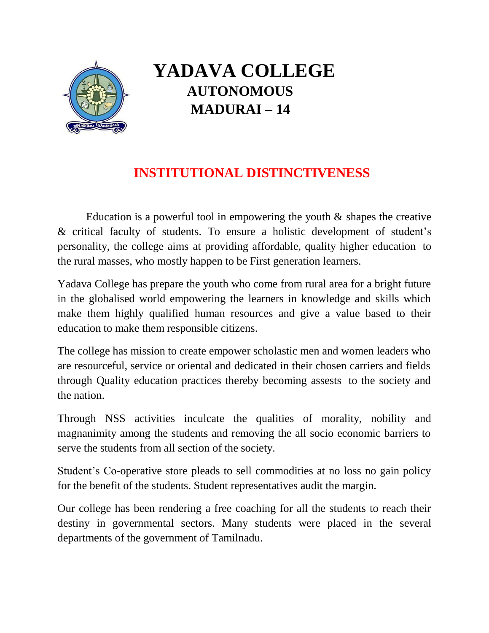

# **YADAVA COLLEGE AUTONOMOUS MADURAI – 14**

# **INSTITUTIONAL DISTINCTIVENESS**

Education is a powerful tool in empowering the youth  $\&$  shapes the creative & critical faculty of students. To ensure a holistic development of student's personality, the college aims at providing affordable, quality higher education to the rural masses, who mostly happen to be First generation learners.

Yadava College has prepare the youth who come from rural area for a bright future in the globalised world empowering the learners in knowledge and skills which make them highly qualified human resources and give a value based to their education to make them responsible citizens.

The college has mission to create empower scholastic men and women leaders who are resourceful, service or oriental and dedicated in their chosen carriers and fields through Quality education practices thereby becoming assests to the society and the nation.

Through NSS activities inculcate the qualities of morality, nobility and magnanimity among the students and removing the all socio economic barriers to serve the students from all section of the society.

Student's Co-operative store pleads to sell commodities at no loss no gain policy for the benefit of the students. Student representatives audit the margin.

Our college has been rendering a free coaching for all the students to reach their destiny in governmental sectors. Many students were placed in the several departments of the government of Tamilnadu.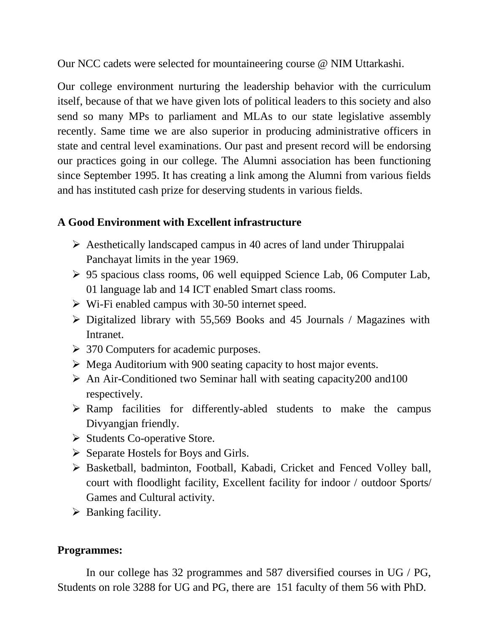Our NCC cadets were selected for mountaineering course @ NIM Uttarkashi.

Our college environment nurturing the leadership behavior with the curriculum itself, because of that we have given lots of political leaders to this society and also send so many MPs to parliament and MLAs to our state legislative assembly recently. Same time we are also superior in producing administrative officers in state and central level examinations. Our past and present record will be endorsing our practices going in our college. The Alumni association has been functioning since September 1995. It has creating a link among the Alumni from various fields and has instituted cash prize for deserving students in various fields.

# **A Good Environment with Excellent infrastructure**

- $\triangleright$  Aesthetically landscaped campus in 40 acres of land under Thiruppalai Panchayat limits in the year 1969.
- 95 spacious class rooms, 06 well equipped Science Lab, 06 Computer Lab, 01 language lab and 14 ICT enabled Smart class rooms.
- $\triangleright$  Wi-Fi enabled campus with 30-50 internet speed.
- Digitalized library with 55,569 Books and 45 Journals / Magazines with Intranet.
- $>$  370 Computers for academic purposes.
- $\triangleright$  Mega Auditorium with 900 seating capacity to host major events.
- $\triangleright$  An Air-Conditioned two Seminar hall with seating capacity 200 and 100 respectively.
- $\triangleright$  Ramp facilities for differently-abled students to make the campus Divyangjan friendly.
- $\triangleright$  Students Co-operative Store.
- $\triangleright$  Separate Hostels for Boys and Girls.
- Basketball, badminton, Football, Kabadi, Cricket and Fenced Volley ball, court with floodlight facility, Excellent facility for indoor / outdoor Sports/ Games and Cultural activity.
- $\triangleright$  Banking facility.

# **Programmes:**

In our college has 32 programmes and 587 diversified courses in UG / PG, Students on role 3288 for UG and PG, there are 151 faculty of them 56 with PhD.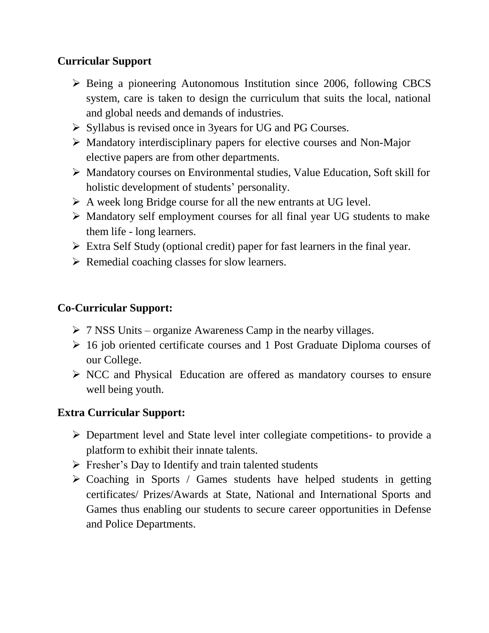# **Curricular Support**

- $\triangleright$  Being a pioneering Autonomous Institution since 2006, following CBCS system, care is taken to design the curriculum that suits the local, national and global needs and demands of industries.
- $\triangleright$  Syllabus is revised once in 3 years for UG and PG Courses.
- $\triangleright$  Mandatory interdisciplinary papers for elective courses and Non-Major elective papers are from other departments.
- Mandatory courses on Environmental studies, Value Education, Soft skill for holistic development of students' personality.
- A week long Bridge course for all the new entrants at UG level.
- $\triangleright$  Mandatory self employment courses for all final year UG students to make them life - long learners.
- $\triangleright$  Extra Self Study (optional credit) paper for fast learners in the final year.
- $\triangleright$  Remedial coaching classes for slow learners.

#### **Co-Curricular Support:**

- $\triangleright$  7 NSS Units organize Awareness Camp in the nearby villages.
- $\geq 16$  job oriented certificate courses and 1 Post Graduate Diploma courses of our College.
- $\triangleright$  NCC and Physical Education are offered as mandatory courses to ensure well being youth.

#### **Extra Curricular Support:**

- Department level and State level inter collegiate competitions- to provide a platform to exhibit their innate talents.
- $\triangleright$  Fresher's Day to Identify and train talented students
- $\triangleright$  Coaching in Sports / Games students have helped students in getting certificates/ Prizes/Awards at State, National and International Sports and Games thus enabling our students to secure career opportunities in Defense and Police Departments.